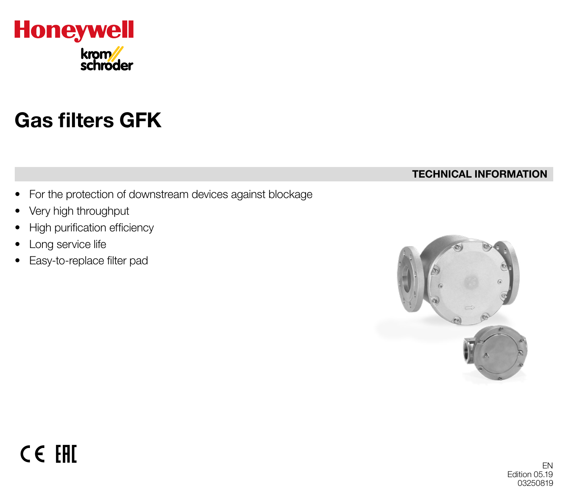

# Gas filters GFK

#### TECHNICAL INFORMATION

- For the protection of downstream devices against blockage
- Very high throughput
- High purification efficiency
- Long service life
- Easy-to-replace filter pad

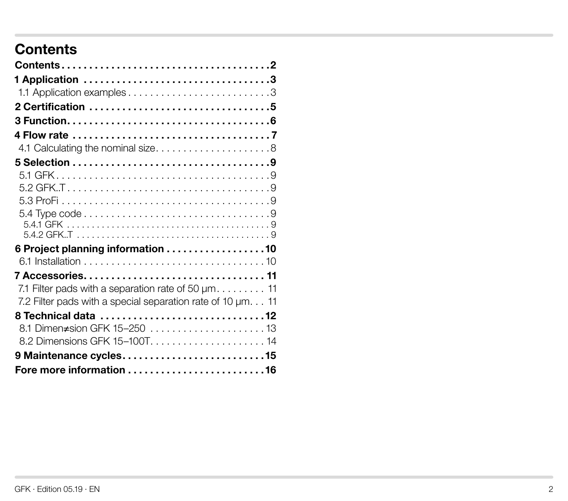## **Contents**

| 6 Project planning information 10                                         |  |
|---------------------------------------------------------------------------|--|
|                                                                           |  |
| 7 Accessories 11                                                          |  |
| 7.1 Filter pads with a separation rate of 50 $\mu$ m 11                   |  |
| 7.2 Filter pads with a special separation rate of 10 $\mu$ m. $\ldots$ 11 |  |
|                                                                           |  |
| 8.1 Dimen≠sion GFK 15-250 13                                              |  |
| 8.2 Dimensions GFK 15-100T 14                                             |  |
|                                                                           |  |
|                                                                           |  |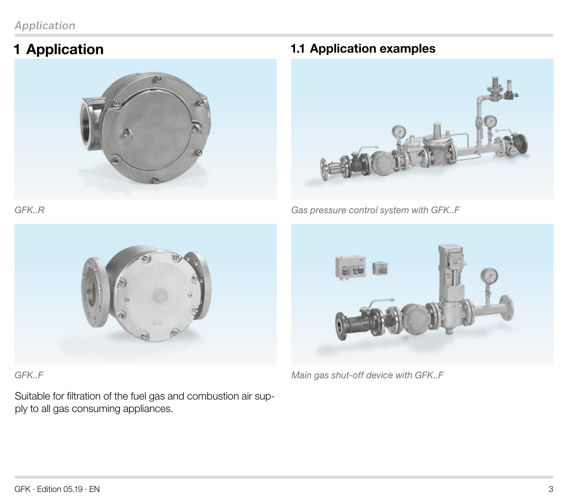#### <span id="page-2-0"></span>*Application*

## 1 Application



### 1.1 Application examples



*Gas pressure control system with GFK..F*



*GFK..F* 

*GFK..R*

Suitable for filtration of the fuel gas and combustion air supply to all gas consuming appliances.



*Main gas shut-off device with GFK..F*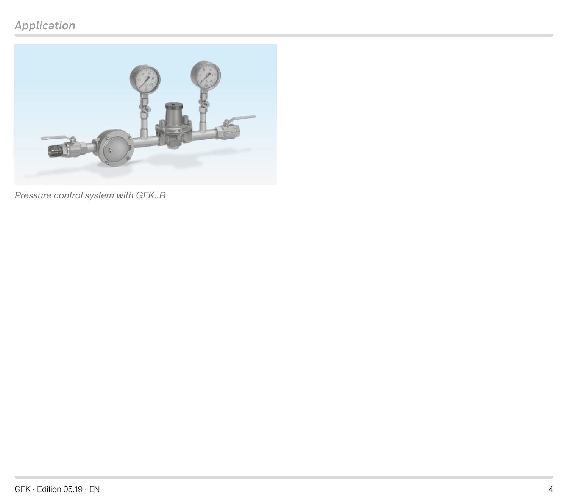### *Application*



*Pressure control system with GFK..R*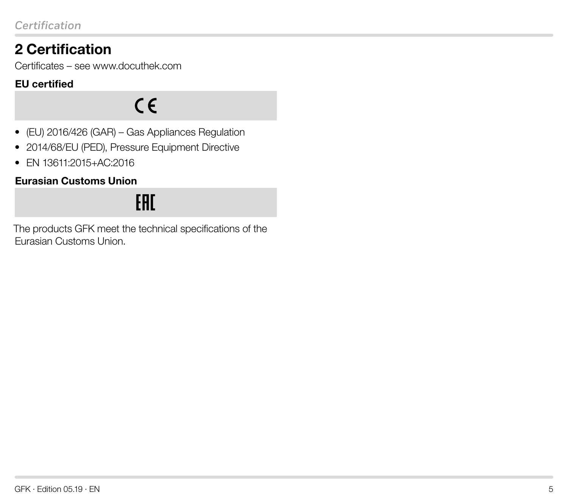# <span id="page-4-0"></span>2 Certification

Certificates – se[e www.docuthek.com](https://docuthek.kromschroeder.com/documents/index.php?selclass=20&folder=201040)

#### EU certified

 $C \in$ 

- (EU) 2016/426 (GAR) Gas Appliances Regulation
- 2014/68/EU (PED), Pressure Equipment Directive
- EN 13611:2015+AC:2016

#### Eurasian Customs Union

# EAC.

The products GFK meet the technical specifications of the Eurasian Customs Union.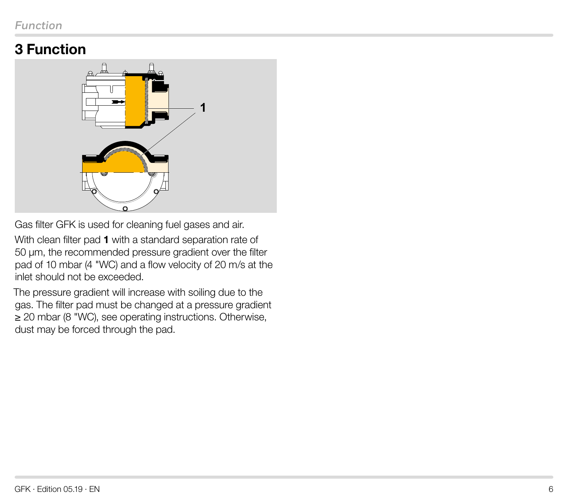## <span id="page-5-0"></span>3 Function



Gas filter GFK is used for cleaning fuel gases and air.

With clean filter pad 1 with a standard separation rate of 50 µm, the recommended pressure gradient over the filter pad of 10 mbar (4 "WC) and a flow velocity of 20 m/s at the inlet should not be exceeded.

The pressure gradient will increase with soiling due to the gas. The filter pad must be changed at a pressure gradient ≥ 20 mbar (8 "WC), see operating instructions. Otherwise, dust may be forced through the pad.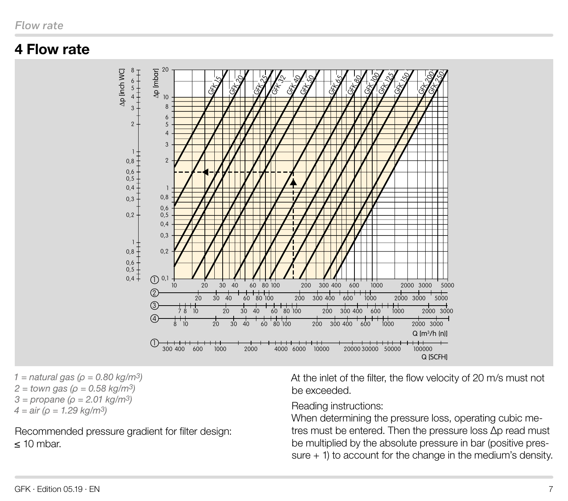### <span id="page-6-0"></span>4 Flow rate



*1 = natural gas (ρ = 0.80 kg/m3) 2 = town gas (ρ = 0.58 kg/m3) 3 = propane (ρ = 2.01 kg/m3) 4 = air (ρ = 1.29 kg/m3)*

Recommended pressure gradient for filter design: ≤ 10 mbar.

At the inlet of the filter, the flow velocity of 20 m/s must not be exceeded.

Reading instructions:

When determining the pressure loss, operating cubic metres must be entered. Then the pressure loss Δp read must be multiplied by the absolute pressure in bar (positive pressure + 1) to account for the change in the medium's density.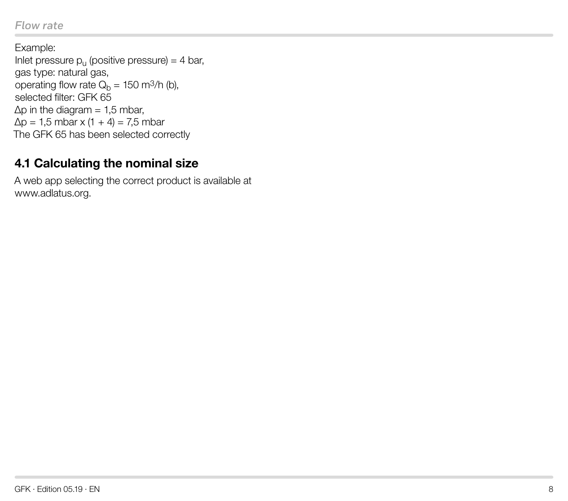#### <span id="page-7-0"></span>*Flow rate*

Example: Inlet pressure  $p_{11}$  (positive pressure) = 4 bar, gas type: natural gas, operating flow rate  $Q_b = 150$  m<sup>3</sup>/h (b), selected filter: GFK 65  $\Delta p$  in the diagram = 1.5 mbar,  $\Delta p = 1.5$  mbar x (1 + 4) = 7.5 mbar The GFK 65 has been selected correctly

### 4.1 Calculating the nominal size

A web app selecting the correct product is available a[t](https://www.kromschroeder.de/marketing/adlatus/flowrate/flowrate.html?suche=GFK)  [www.adlatus.org.](https://www.kromschroeder.de/marketing/adlatus/flowrate/flowrate.html?suche=GFK)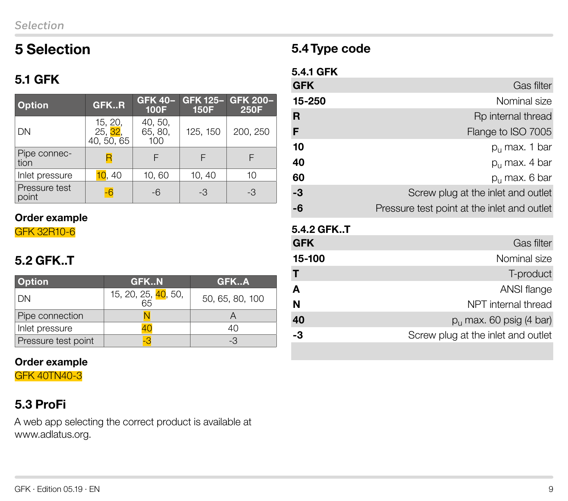### <span id="page-8-0"></span>5 Selection

### 5.1 GFK

| <b>Option</b>          | GFKR                                           | <b>GFK 40-</b><br><b>100F</b> | <b>GFK 125-</b><br><b>150F</b> | GFK 200-<br><b>250F</b> |
|------------------------|------------------------------------------------|-------------------------------|--------------------------------|-------------------------|
| DN                     | 15, 20,<br>25, <mark>32</mark> ,<br>40, 50, 65 | 40, 50,<br>65, 80,<br>100     | 125, 150                       | 200, 250                |
| Pipe connec-<br>tion   |                                                | F                             |                                |                         |
| Inlet pressure         | 10, 40                                         | 10,60                         | 10, 40                         | 10                      |
| Pressure test<br>point |                                                | -6                            | -3                             | -3                      |

#### Order example

GFK 32R10-6

### 5.2 GFK..T

| <b>Option</b>       | <b>GFKN</b>               | GFKA            |
|---------------------|---------------------------|-----------------|
| DΝ                  | 15, 20, 25, 40, 50,<br>65 | 50, 65, 80, 100 |
| Pipe connection     |                           |                 |
| Inlet pressure      |                           | 40              |
| Pressure test point |                           | -3              |

#### Order example

GFK 40TN40-3

# 5.3 ProFi

A web app selecting the correct product is available a[t](https://www.kromschroeder.de/marketing/adlatus/profi/profi.html?suche=GFK)  [www.adlatus.org.](https://www.kromschroeder.de/marketing/adlatus/profi/profi.html?suche=GFK)

### 5.4 Type code

#### 5.4.1 GFK

| <b>GFK</b> | Gas filter                                  |
|------------|---------------------------------------------|
| 15-250     | Nominal size                                |
| R          | Rp internal thread                          |
| F          | Flange to ISO 7005                          |
| 10         | $p_{\rm u}$ max. 1 bar                      |
| 40         | $p_{\rm u}$ max. 4 bar                      |
| 60         | $p_{11}$ max. 6 bar                         |
| $-3$       | Screw plug at the inlet and outlet          |
| -6         | Pressure test point at the inlet and outlet |

#### 5.4.2 GFK..T

| <b>GFK</b> | Gas filter                         |
|------------|------------------------------------|
| 15-100     | Nominal size                       |
| Т          | T-product                          |
| A          | ANSI flange                        |
| Ń          | NPT internal thread                |
| 40         | $p_{\rm u}$ max. 60 psig (4 bar)   |
| -3         | Screw plug at the inlet and outlet |
|            |                                    |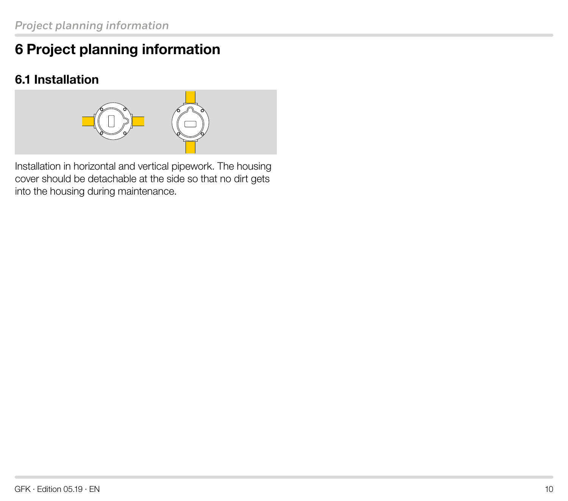# <span id="page-9-0"></span>6 Project planning information

### 6.1 Installation



Installation in horizontal and vertical pipework. The housing cover should be detachable at the side so that no dirt gets into the housing during maintenance.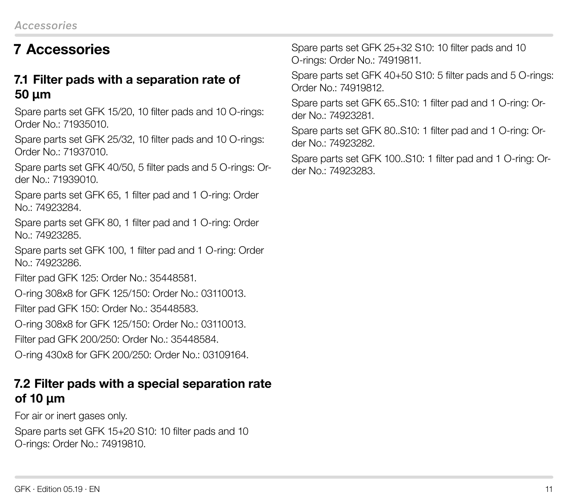# <span id="page-10-0"></span>7 Accessories

#### 7.1 Filter pads with a separation rate of 50 µm

Spare parts set GFK 15/20, 10 filter pads and 10 O-rings: Order No.: 71935010.

Spare parts set GFK 25/32, 10 filter pads and 10 O-rings: Order No.: 71937010.

Spare parts set GFK 40/50, 5 filter pads and 5 O-rings: Order No.: 71939010.

Spare parts set GFK 65, 1 filter pad and 1 O-ring: Order No.: 74923284.

Spare parts set GFK 80, 1 filter pad and 1 O-ring: Order No.: 74923285.

Spare parts set GFK 100, 1 filter pad and 1 O-ring: Order No.: 74923286.

Filter pad GFK 125: Order No.: 35448581.

O-ring 308x8 for GFK 125/150: Order No.: 03110013.

Filter pad GFK 150: Order No.: 35448583.

O-ring 308x8 for GFK 125/150: Order No.: 03110013.

Filter pad GFK 200/250: Order No.: 35448584.

O-ring 430x8 for GFK 200/250: Order No.: 03109164.

#### 7.2 Filter pads with a special separation rate of 10 µm

For air or inert gases only.

Spare parts set GFK 15+20 S10: 10 filter pads and 10 O-rings: Order No.: 74919810.

Spare parts set GFK 25+32 S10: 10 filter pads and 10 O-rings: Order No.: 74919811.

Spare parts set GFK 40+50 S10: 5 filter pads and 5 O-rings: Order No.: 74919812.

Spare parts set GFK 65..S10: 1 filter pad and 1 O-ring: Order No.: 74923281.

Spare parts set GFK 80..S10: 1 filter pad and 1 O-ring: Order No.: 74923282.

Spare parts set GFK 100..S10: 1 filter pad and 1 O-ring: Order No.: 74923283.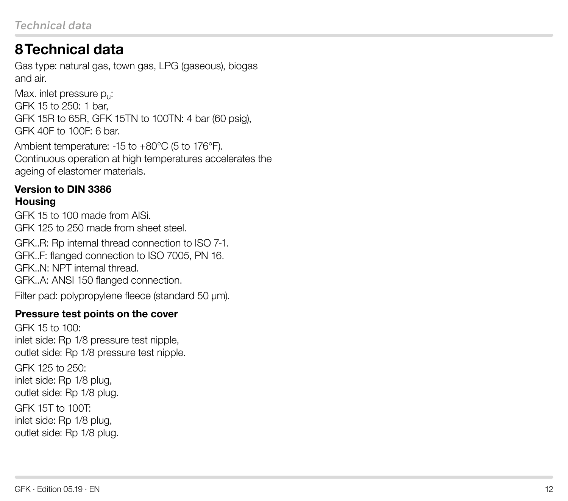### <span id="page-11-0"></span>8 Technical data

Gas type: natural gas, town gas, LPG (gaseous), biogas and air.

Max. inlet pressure p<sub>u</sub>: GFK 15 to 250: 1 bar, GFK 15R to 65R, GFK 15TN to 100TN: 4 bar (60 psig), GFK 40F to 100F: 6 bar.

Ambient temperature: -15 to +80°C (5 to 176°F). Continuous operation at high temperatures accelerates the ageing of elastomer materials.

#### Version to DIN 3386 **Housing**

GFK 15 to 100 made from AlSi. GFK 125 to 250 made from sheet steel.

GFK..R: Rp internal thread connection to ISO 7-1. GFK..F: flanged connection to ISO 7005, PN 16. GFK..N: NPT internal thread. GFK..A: ANSI 150 flanged connection.

Filter pad: polypropylene fleece (standard 50 μm).

#### Pressure test points on the cover

GFK 15 to 100: inlet side: Rp 1/8 pressure test nipple, outlet side: Rp 1/8 pressure test nipple. GFK 125 to 250: inlet side: Rp 1/8 plug, outlet side: Rp 1/8 plug. GFK 15T to 100T:

inlet side: Rp 1/8 plug, outlet side: Rp 1/8 plug.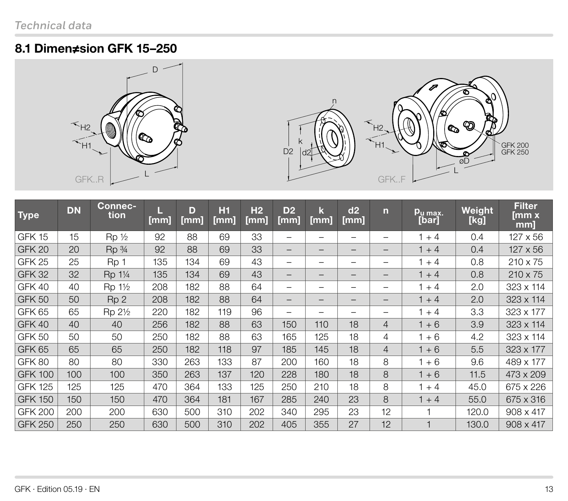### <span id="page-12-0"></span>8.1 Dimen≠sion GFK 15–250





| <b>Type</b>       | <b>DN</b> | Connec-<br>tion                  | [mm] | D<br>[mm] | H1<br>[mm] | H <sub>2</sub><br>[mm] | D <sub>2</sub><br>[mm]   | $\mathbf k$<br>[mm] | d2<br>[mm]               | $\overline{\mathsf{n}}$  | <u>Pu max.</u><br>[bar] | Weight<br>[kg] | <b>Filter</b><br>[mm x<br>mm] |
|-------------------|-----------|----------------------------------|------|-----------|------------|------------------------|--------------------------|---------------------|--------------------------|--------------------------|-------------------------|----------------|-------------------------------|
| GFK 15            | 15        | $Rp_{2}$                         | 92   | 88        | 69         | 33                     | —                        |                     |                          |                          | $1 + 4$                 | 0.4            | 127 x 56                      |
| GFK <sub>20</sub> | 20        | Rp <sub>3/4</sub>                | 92   | 88        | 69         | 33                     | $\overline{\phantom{0}}$ |                     | —                        | $\qquad \qquad$          | $1 + 4$                 | 0.4            | $127 \times 56$               |
| GFK 25            | 25        | Rp 1                             | 135  | 134       | 69         | 43                     | —                        |                     |                          |                          | $+4$                    | 0.8            | $210 \times 75$               |
| <b>GFK 32</b>     | 32        | Rp 11/4                          | 135  | 134       | 69         | 43                     | —                        |                     | –                        |                          | $1 + 4$                 | 0.8            | $210 \times 75$               |
| GFK 40            | 40        | Rp 1 <sup>1</sup> / <sub>2</sub> | 208  | 182       | 88         | 64                     | —                        |                     |                          |                          | $+4$                    | 2.0            | 323 x 114                     |
| <b>GFK 50</b>     | 50        | Rp <sub>2</sub>                  | 208  | 182       | 88         | 64                     | $\overline{\phantom{0}}$ |                     | $\overline{\phantom{m}}$ | $\qquad \qquad$          | $1 + 4$                 | 2.0            | 323 x 114                     |
| <b>GFK 65</b>     | 65        | Rp 21/2                          | 220  | 182       | 119        | 96                     | —                        |                     | —                        | $\overline{\phantom{0}}$ | $+4$                    | 3.3            | 323 x 177                     |
| GFK 40            | 40        | 40                               | 256  | 182       | 88         | 63                     | 150                      | 110                 | 18                       | $\overline{4}$           | $1 + 6$                 | 3.9            | 323 x 114                     |
| <b>GFK 50</b>     | 50        | 50                               | 250  | 182       | 88         | 63                     | 165                      | 125                 | 18                       | 4                        | $+6$                    | 4.2            | 323 x 114                     |
| GFK <sub>65</sub> | 65        | 65                               | 250  | 182       | 118        | 97                     | 185                      | 145                 | 18                       | $\overline{4}$           | $1 + 6$                 | 5.5            | $323 \times 177$              |
| GFK 80            | 80        | 80                               | 330  | 263       | 133        | 87                     | 200                      | 160                 | 18                       | 8                        | $+6$                    | 9.6            | 489 x 177                     |
| <b>GFK 100</b>    | 100       | 100                              | 350  | 263       | 137        | 120                    | 228                      | 180                 | 18                       | 8                        | $1 + 6$                 | 11.5           | 473 x 209                     |
| <b>GFK 125</b>    | 125       | 125                              | 470  | 364       | 133        | 125                    | 250                      | 210                 | 18                       | 8                        | $+4$                    | 45.0           | 675 x 226                     |
| <b>GFK 150</b>    | 150       | 150                              | 470  | 364       | 181        | 167                    | 285                      | 240                 | 23                       | 8                        | $+4$                    | 55.0           | 675 x 316                     |
| <b>GFK 200</b>    | 200       | 200                              | 630  | 500       | 310        | 202                    | 340                      | 295                 | 23                       | 12                       |                         | 120.0          | $908 \times 417$              |
| <b>GFK 250</b>    | 250       | 250                              | 630  | 500       | 310        | 202                    | 405                      | 355                 | 27                       | 12                       |                         | 130.0          | $908 \times 417$              |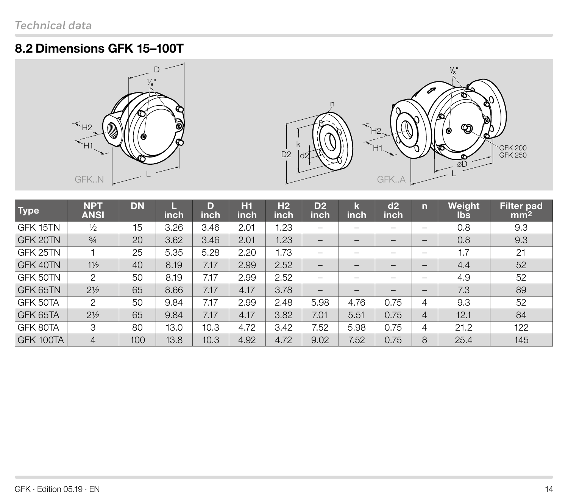### <span id="page-13-0"></span>8.2 Dimensions GFK 15–100T





| <b>Type</b> | <b>NPT</b><br><b>ANSI</b> | <b>DN</b> | inch | D<br>inch | <b>H1</b><br>inch | H <sub>2</sub><br>inch | D <sub>2</sub><br>inch   | k<br>inch                    | d2<br><b>inch</b>        | n                        | <b>Weight</b><br>lbs. | Filter pad<br>mm <sup>2</sup> |
|-------------|---------------------------|-----------|------|-----------|-------------------|------------------------|--------------------------|------------------------------|--------------------------|--------------------------|-----------------------|-------------------------------|
| GFK 15TN    | $\frac{1}{2}$             | 15        | 3.26 | 3.46      | 2.01              | 1.23                   |                          |                              |                          | -                        | 0.8                   | 9.3                           |
| GFK 20TN    | $\frac{3}{4}$             | 20        | 3.62 | 3.46      | 2.01              | 1.23                   | —                        | —                            |                          |                          | 0.8                   | 9.3                           |
| GFK 25TN    |                           | 25        | 5.35 | 5.28      | 2.20              | .73                    | —                        |                              |                          |                          | 1.7                   | 21                            |
| GFK 40TN    | $1\frac{1}{2}$            | 40        | 8.19 | 7.17      | 2.99              | 2.52                   | $\qquad \qquad -$        | $\qquad \qquad \blacksquare$ |                          | —                        | 4.4                   | 52                            |
| GFK 50TN    | 2                         | 50        | 8.19 | 7.17      | 2.99              | 2.52                   | —                        |                              |                          |                          | 4.9                   | 52                            |
| GFK 65TN    | $2\frac{1}{2}$            | 65        | 8.66 | 7.17      | 4.17              | 3.78                   | $\overline{\phantom{m}}$ | $\overline{\phantom{m}}$     | $\overline{\phantom{m}}$ | $\overline{\phantom{0}}$ | 7.3                   | 89                            |
| GFK 50TA    | 2                         | 50        | 9.84 | 7.17      | 2.99              | 2.48                   | 5.98                     | 4.76                         | 0.75                     | 4                        | 9.3                   | 52                            |
| GFK 65TA    | $2\frac{1}{2}$            | 65        | 9.84 | 7.17      | 4.17              | 3.82                   | 7.01                     | 5.51                         | 0.75                     | 4                        | 12.1                  | 84                            |
| GFK 80TA    | 3                         | 80        | 13.0 | 10.3      | 4.72              | 3.42                   | 7.52                     | 5.98                         | 0.75                     | 4                        | 21.2                  | 122                           |
| GFK 100TA   | $\overline{4}$            | 100       | 13.8 | 10.3      | 4.92              | 4.72                   | 9.02                     | 7.52                         | 0.75                     | 8                        | 25.4                  | 145                           |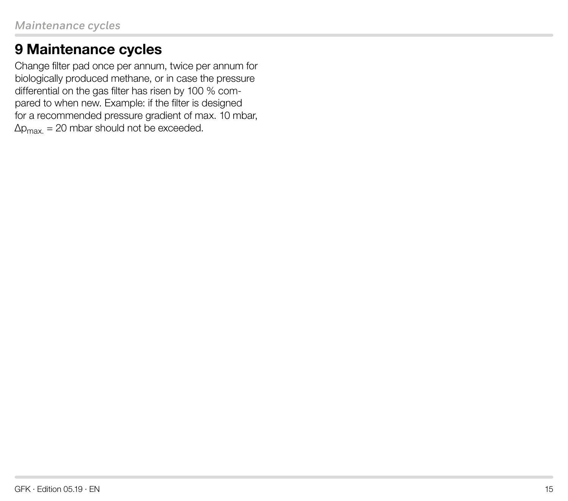# <span id="page-14-0"></span>9 Maintenance cycles

Change filter pad once per annum, twice per annum for biologically produced methane, or in case the pressure differential on the gas filter has risen by 100 % compared to when new. Example: if the filter is designed for a recommended pressure gradient of max. 10 mbar,  $\Delta p_{\text{max}} = 20$  mbar should not be exceeded.